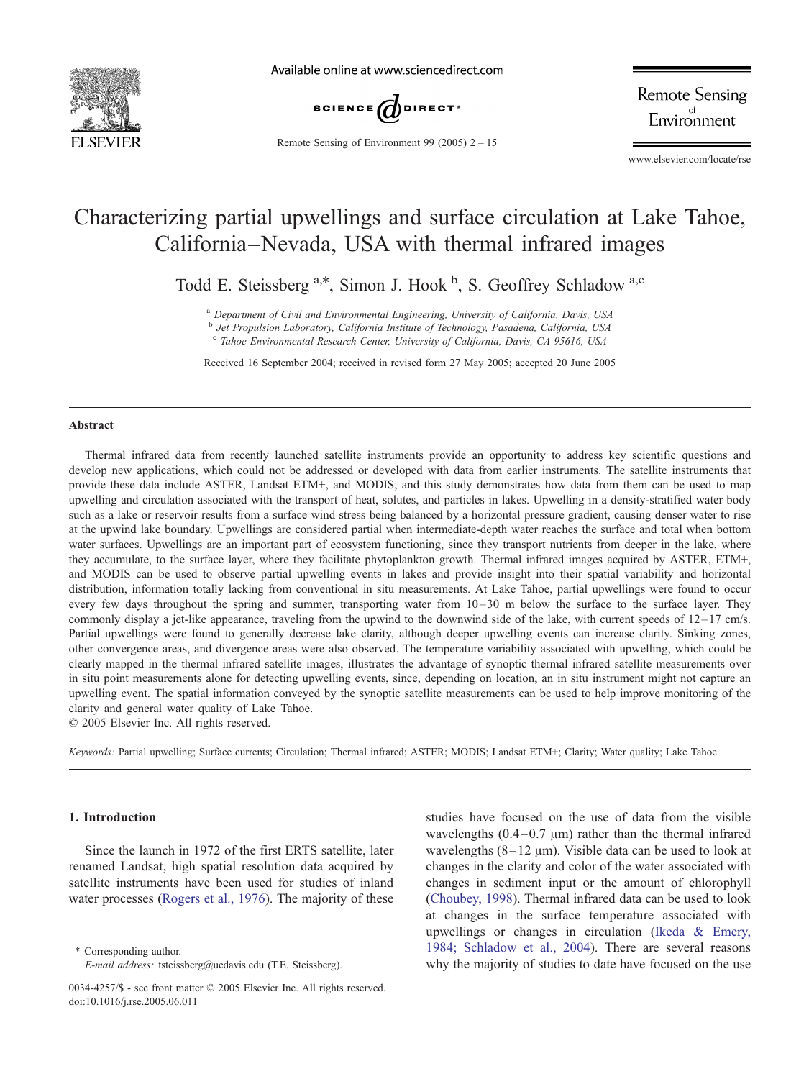

Available online at www.sciencedirect.com



Remote Sensing of Environment 99 (2005) 2 – 15

**Remote Sensing** Environment

www.elsevier.com/locate/rse

# Characterizing partial upwellings and surface circulation at Lake Tahoe, California–Nevada, USA with thermal infrared images

Todd E. Steissberg<sup>a,\*</sup>, Simon J. Hook <sup>b</sup>, S. Geoffrey Schladow<sup>a,c</sup>

<sup>a</sup> Department of Civil and Environmental Engineering, University of California, Davis, USA

b Jet Propulsion Laboratory, California Institute of Technology, Pasadena, California, USA

<sup>c</sup> Tahoe Environmental Research Center, University of California, Davis, CA 95616, USA

Received 16 September 2004; received in revised form 27 May 2005; accepted 20 June 2005

#### Abstract

Thermal infrared data from recently launched satellite instruments provide an opportunity to address key scientific questions and develop new applications, which could not be addressed or developed with data from earlier instruments. The satellite instruments that provide these data include ASTER, Landsat ETM+, and MODIS, and this study demonstrates how data from them can be used to map upwelling and circulation associated with the transport of heat, solutes, and particles in lakes. Upwelling in a density-stratified water body such as a lake or reservoir results from a surface wind stress being balanced by a horizontal pressure gradient, causing denser water to rise at the upwind lake boundary. Upwellings are considered partial when intermediate-depth water reaches the surface and total when bottom water surfaces. Upwellings are an important part of ecosystem functioning, since they transport nutrients from deeper in the lake, where they accumulate, to the surface layer, where they facilitate phytoplankton growth. Thermal infrared images acquired by ASTER, ETM+, and MODIS can be used to observe partial upwelling events in lakes and provide insight into their spatial variability and horizontal distribution, information totally lacking from conventional in situ measurements. At Lake Tahoe, partial upwellings were found to occur every few days throughout the spring and summer, transporting water from  $10-30$  m below the surface to the surface layer. They commonly display a jet-like appearance, traveling from the upwind to the downwind side of the lake, with current speeds of  $12-17$  cm/s. Partial upwellings were found to generally decrease lake clarity, although deeper upwelling events can increase clarity. Sinking zones, other convergence areas, and divergence areas were also observed. The temperature variability associated with upwelling, which could be clearly mapped in the thermal infrared satellite images, illustrates the advantage of synoptic thermal infrared satellite measurements over in situ point measurements alone for detecting upwelling events, since, depending on location, an in situ instrument might not capture an upwelling event. The spatial information conveyed by the synoptic satellite measurements can be used to help improve monitoring of the clarity and general water quality of Lake Tahoe.

 $© 2005 Elsevier Inc. All rights reserved.$ 

Keywords: Partial upwelling; Surface currents; Circulation; Thermal infrared; ASTER; MODIS; Landsat ETM+; Clarity; Water quality; Lake Tahoe

# 1. Introduction

Since the launch in 1972 of the first ERTS satellite, later renamed Landsat, high spatial resolution data acquired by satellite instruments have been used for studies of inland water processes ([Rogers et al., 1976\)](#page-13-0). The majority of these

\* Corresponding author. E-mail address: tsteissberg@ucdavis.edu (T.E. Steissberg). studies have focused on the use of data from the visible wavelengths  $(0.4 - 0.7 \mu m)$  rather than the thermal infrared wavelengths  $(8-12 \mu m)$ . Visible data can be used to look at changes in the clarity and color of the water associated with changes in sediment input or the amount of chlorophyll ([Choubey, 1998\)](#page-13-0). Thermal infrared data can be used to look at changes in the surface temperature associated with upwellings or changes in circulation ([Ikeda & Emery,](#page-13-0) 1984; Schladow et al., 2004). There are several reasons why the majority of studies to date have focused on the use

<sup>0034-4257/\$ -</sup> see front matter © 2005 Elsevier Inc. All rights reserved. doi:10.1016/j.rse.2005.06.011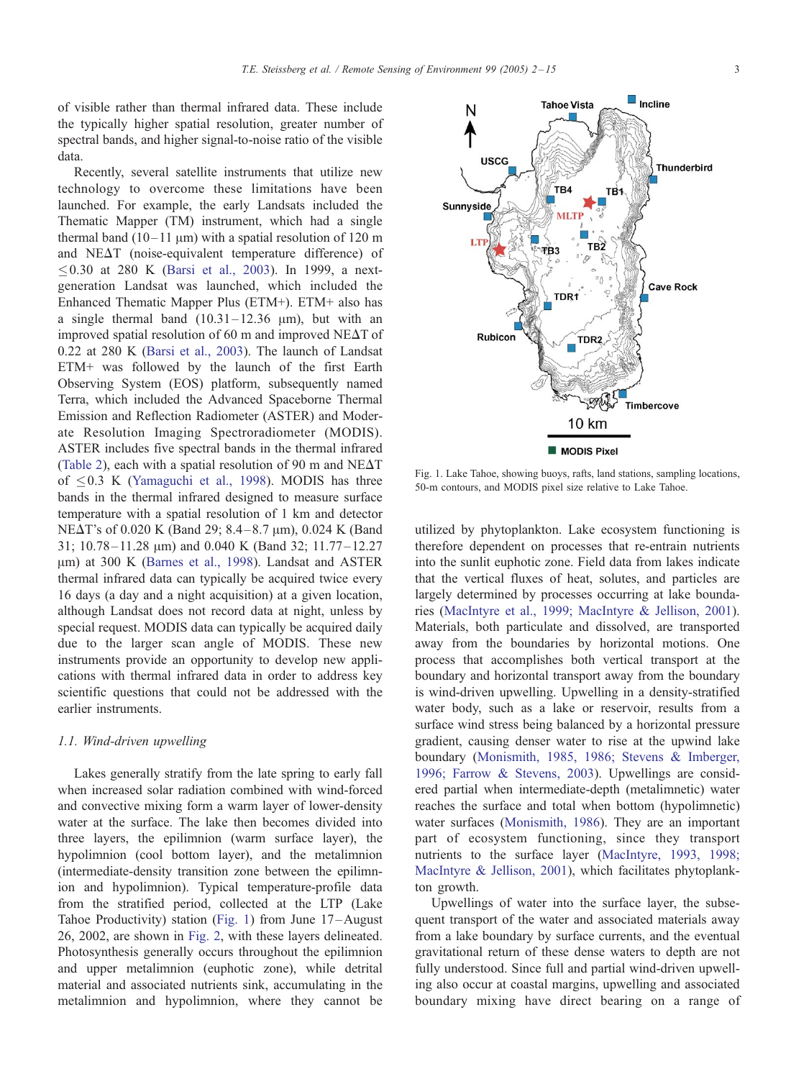<span id="page-1-0"></span>of visible rather than thermal infrared data. These include the typically higher spatial resolution, greater number of spectral bands, and higher signal-to-noise ratio of the visible data.

Recently, several satellite instruments that utilize new technology to overcome these limitations have been launched. For example, the early Landsats included the Thematic Mapper (TM) instrument, which had a single thermal band  $(10-11 \mu m)$  with a spatial resolution of 120 m and  $NE\Delta T$  (noise-equivalent temperature difference) of  $0.30$  at 280 K ([Barsi et al., 2003\)](#page-13-0). In 1999, a nextgeneration Landsat was launched, which included the Enhanced Thematic Mapper Plus (ETM+). ETM+ also has a single thermal band  $(10.31 - 12.36 \mu m)$ , but with an improved spatial resolution of 60 m and improved NE $\Delta$ T of 0.22 at 280 K ([Barsi et al., 2003\)](#page-13-0). The launch of Landsat ETM+ was followed by the launch of the first Earth Observing System (EOS) platform, subsequently named Terra, which included the Advanced Spaceborne Thermal Emission and Reflection Radiometer (ASTER) and Moderate Resolution Imaging Spectroradiometer (MODIS). ASTER includes five spectral bands in the thermal infrared ([Table 2\)](#page-4-0), each with a spatial resolution of 90 m and NE $\Delta$ T of  $0.3$  K ([Yamaguchi et al., 1998\)](#page-13-0). MODIS has three bands in the thermal infrared designed to measure surface temperature with a spatial resolution of 1 km and detector NE $\Delta$ T's of 0.020 K (Band 29; 8.4–8.7 µm), 0.024 K (Band 31; 10.78 – 11.28  $\mu$ m) and 0.040 K (Band 32; 11.77 – 12.27 µm) at 300 K ([Barnes et al., 1998\)](#page-13-0). Landsat and ASTER thermal infrared data can typically be acquired twice every 16 days (a day and a night acquisition) at a given location, although Landsat does not record data at night, unless by special request. MODIS data can typically be acquired daily due to the larger scan angle of MODIS. These new instruments provide an opportunity to develop new applications with thermal infrared data in order to address key scientific questions that could not be addressed with the earlier instruments.

## 1.1. Wind-driven upwelling

Lakes generally stratify from the late spring to early fall when increased solar radiation combined with wind-forced and convective mixing form a warm layer of lower-density water at the surface. The lake then becomes divided into three layers, the epilimnion (warm surface layer), the hypolimnion (cool bottom layer), and the metalimnion (intermediate-density transition zone between the epilimnion and hypolimnion). Typical temperature-profile data from the stratified period, collected at the LTP (Lake Tahoe Productivity) station (Fig. 1) from June 17 –August 26, 2002, are shown in [Fig. 2,](#page-2-0) with these layers delineated. Photosynthesis generally occurs throughout the epilimnion and upper metalimnion (euphotic zone), while detrital material and associated nutrients sink, accumulating in the metalimnion and hypolimnion, where they cannot be Fig. 1. Lake Tahoe, showing buoys, rafts, land stations, sampling locations, 50-m contours, and MODIS pixel size relative to Lake Tahoe.

utilized by phytoplankton. Lake ecosystem functioning is therefore dependent on processes that re-entrain nutrients into the sunlit euphotic zone. Field data from lakes indicate that the vertical fluxes of heat, solutes, and particles are largely determined by processes occurring at lake boundaries ([MacIntyre et al., 1999; MacIntyre & Jellison, 2001\)](#page-13-0). Materials, both particulate and dissolved, are transported away from the boundaries by horizontal motions. One process that accomplishes both vertical transport at the boundary and horizontal transport away from the boundary is wind-driven upwelling. Upwelling in a density-stratified water body, such as a lake or reservoir, results from a surface wind stress being balanced by a horizontal pressure gradient, causing denser water to rise at the upwind lake boundary ([Monismith, 1985, 1986; Stevens & Imberger,](#page-13-0) 1996; Farrow & Stevens, 2003). Upwellings are considered partial when intermediate-depth (metalimnetic) water reaches the surface and total when bottom (hypolimnetic) water surfaces ([Monismith, 1986\)](#page-13-0). They are an important part of ecosystem functioning, since they transport nutrients to the surface layer ([MacIntyre, 1993, 1998;](#page-13-0) MacIntyre & Jellison, 2001), which facilitates phytoplankton growth.

Upwellings of water into the surface layer, the subsequent transport of the water and associated materials away from a lake boundary by surface currents, and the eventual gravitational return of these dense waters to depth are not fully understood. Since full and partial wind-driven upwelling also occur at coastal margins, upwelling and associated boundary mixing have direct bearing on a range of

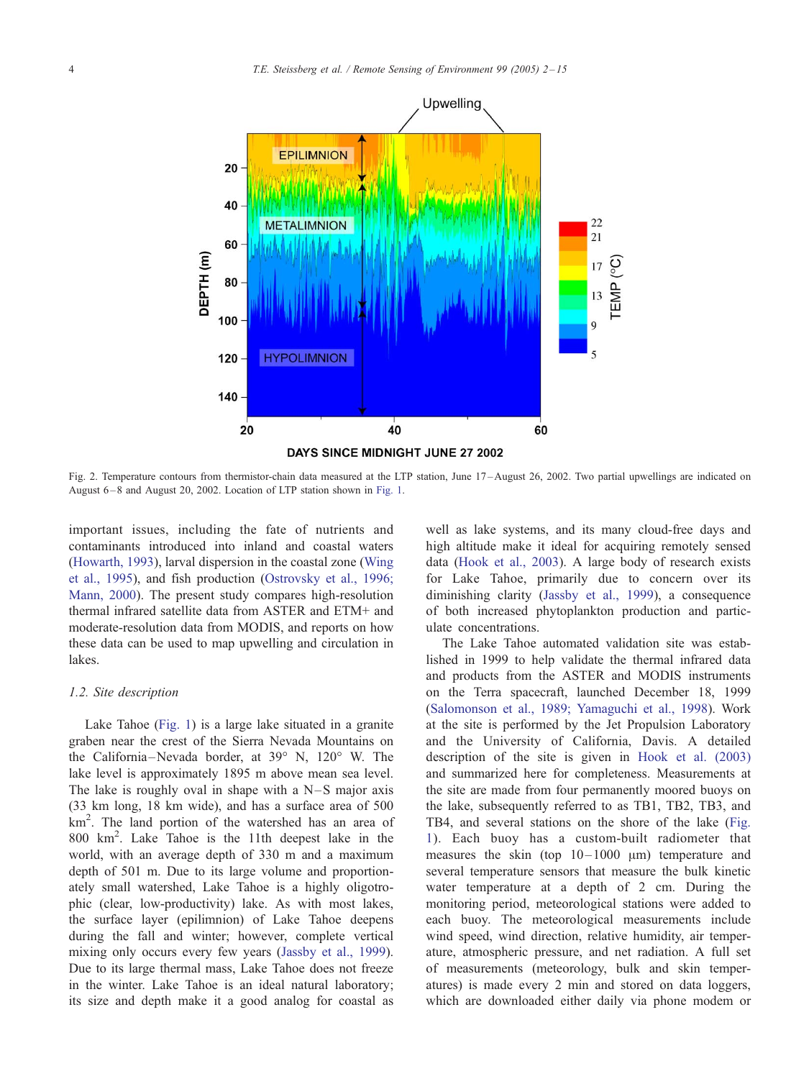<span id="page-2-0"></span>

Fig. 2. Temperature contours from thermistor-chain data measured at the LTP station, June 17 – August 26, 2002. Two partial upwellings are indicated on August 6-8 and August 20, 2002. Location of LTP station shown in [Fig. 1.](#page-1-0)

important issues, including the fate of nutrients and contaminants introduced into inland and coastal waters ([Howarth, 1993\)](#page-13-0), larval dispersion in the coastal zone ([Wing](#page-13-0) et al., 1995), and fish production ([Ostrovsky et al., 1996;](#page-13-0) Mann, 2000). The present study compares high-resolution thermal infrared satellite data from ASTER and ETM+ and moderate-resolution data from MODIS, and reports on how these data can be used to map upwelling and circulation in lakes.

#### 1.2. Site description

Lake Tahoe ([Fig. 1\)](#page-1-0) is a large lake situated in a granite graben near the crest of the Sierra Nevada Mountains on the California-Nevada border, at  $39^{\circ}$  N,  $120^{\circ}$  W. The lake level is approximately 1895 m above mean sea level. The lake is roughly oval in shape with a  $N-S$  major axis (33 km long, 18 km wide), and has a surface area of 500 km<sup>2</sup> . The land portion of the watershed has an area of 800 km<sup>2</sup> . Lake Tahoe is the 11th deepest lake in the world, with an average depth of 330 m and a maximum depth of 501 m. Due to its large volume and proportionately small watershed, Lake Tahoe is a highly oligotrophic (clear, low-productivity) lake. As with most lakes, the surface layer (epilimnion) of Lake Tahoe deepens during the fall and winter; however, complete vertical mixing only occurs every few years ([Jassby et al., 1999\)](#page-13-0). Due to its large thermal mass, Lake Tahoe does not freeze in the winter. Lake Tahoe is an ideal natural laboratory; its size and depth make it a good analog for coastal as well as lake systems, and its many cloud-free days and high altitude make it ideal for acquiring remotely sensed data ([Hook et al., 2003\)](#page-13-0). A large body of research exists for Lake Tahoe, primarily due to concern over its diminishing clarity ([Jassby et al., 1999\)](#page-13-0), a consequence of both increased phytoplankton production and particulate concentrations.

The Lake Tahoe automated validation site was established in 1999 to help validate the thermal infrared data and products from the ASTER and MODIS instruments on the Terra spacecraft, launched December 18, 1999 ([Salomonson et al., 1989; Yamaguchi et al., 1998\)](#page-13-0). Work at the site is performed by the Jet Propulsion Laboratory and the University of California, Davis. A detailed description of the site is given in [Hook et al. \(2003\)](#page-13-0) and summarized here for completeness. Measurements at the site are made from four permanently moored buoys on the lake, subsequently referred to as TB1, TB2, TB3, and TB4, and several stations on the shore of the lake ([Fig.](#page-1-0) 1). Each buoy has a custom-built radiometer that measures the skin (top  $10-1000 \mu m$ ) temperature and several temperature sensors that measure the bulk kinetic water temperature at a depth of 2 cm. During the monitoring period, meteorological stations were added to each buoy. The meteorological measurements include wind speed, wind direction, relative humidity, air temperature, atmospheric pressure, and net radiation. A full set of measurements (meteorology, bulk and skin temperatures) is made every 2 min and stored on data loggers, which are downloaded either daily via phone modem or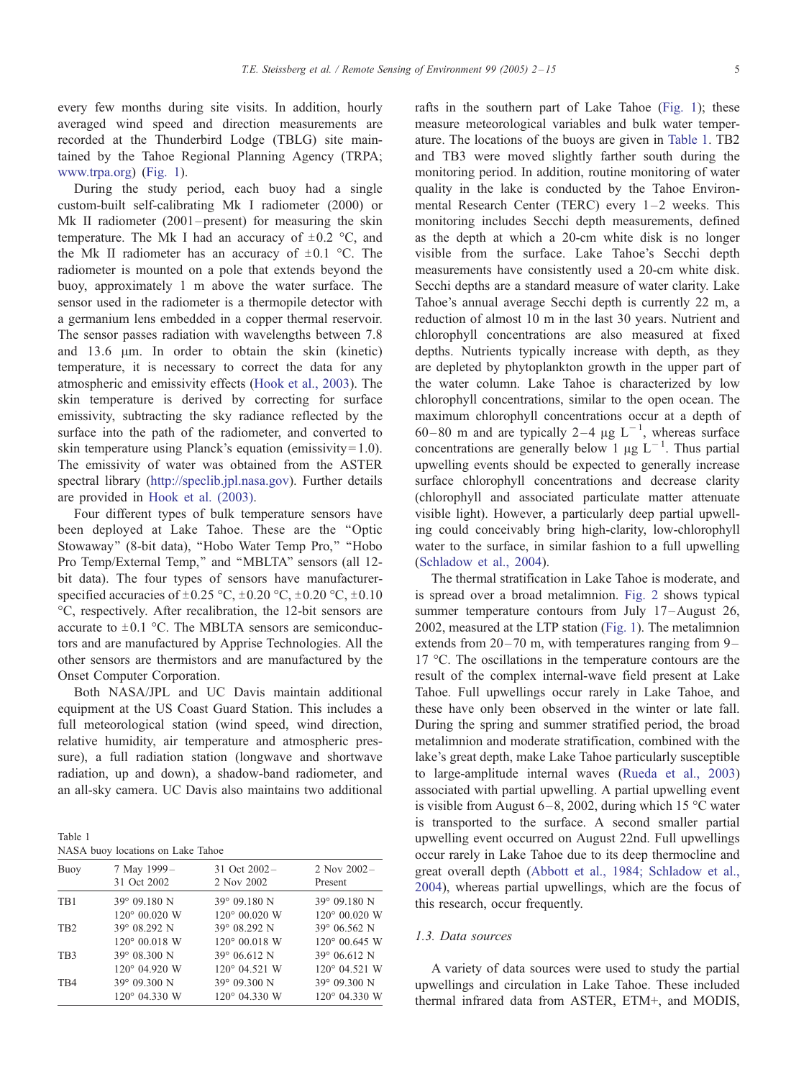<span id="page-3-0"></span>every few months during site visits. In addition, hourly averaged wind speed and direction measurements are recorded at the Thunderbird Lodge (TBLG) site maintained by the Tahoe Regional Planning Agency (TRPA; [www.trpa.org\)](http:www.trpa.org) ([Fig. 1\)](#page-1-0).

During the study period, each buoy had a single custom-built self-calibrating Mk I radiometer (2000) or Mk II radiometer (2001–present) for measuring the skin temperature. The Mk I had an accuracy of  $\pm 0.2$  °C, and the Mk II radiometer has an accuracy of  $\pm 0.1$  °C. The radiometer is mounted on a pole that extends beyond the buoy, approximately 1 m above the water surface. The sensor used in the radiometer is a thermopile detector with a germanium lens embedded in a copper thermal reservoir. The sensor passes radiation with wavelengths between 7.8 and  $13.6 \mu m$ . In order to obtain the skin (kinetic) temperature, it is necessary to correct the data for any atmospheric and emissivity effects ([Hook et al., 2003\)](#page-13-0). The skin temperature is derived by correcting for surface emissivity, subtracting the sky radiance reflected by the surface into the path of the radiometer, and converted to skin temperature using Planck's equation (emissivity  $= 1.0$ ). The emissivity of water was obtained from the ASTER spectral library ([http://speclib.jpl.nasa.gov\)](http://speclib.jpl.nasa.gov). Further details are provided in [Hook et al. \(2003\).](#page-13-0)

Four different types of bulk temperature sensors have been deployed at Lake Tahoe. These are the ''Optic Stowaway" (8-bit data), "Hobo Water Temp Pro," "Hobo Pro Temp/External Temp," and "MBLTA" sensors (all 12bit data). The four types of sensors have manufacturerspecified accuracies of  $\pm 0.25$  °C,  $\pm 0.20$  °C,  $\pm 0.20$  °C,  $\pm 0.10$ -C, respectively. After recalibration, the 12-bit sensors are accurate to  $\pm 0.1$  °C. The MBLTA sensors are semiconductors and are manufactured by Apprise Technologies. All the other sensors are thermistors and are manufactured by the Onset Computer Corporation.

Both NASA/JPL and UC Davis maintain additional equipment at the US Coast Guard Station. This includes a full meteorological station (wind speed, wind direction, relative humidity, air temperature and atmospheric pressure), a full radiation station (longwave and shortwave radiation, up and down), a shadow-band radiometer, and an all-sky camera. UC Davis also maintains two additional

| . .<br>×<br>٠<br>×<br>I |  |
|-------------------------|--|
|-------------------------|--|

|  |  | NASA buoy locations on Lake Tahoe |  |  |  |
|--|--|-----------------------------------|--|--|--|
|--|--|-----------------------------------|--|--|--|

| 7 May 1999-<br>31 Oct 2002 | 31 Oct 2002-<br>2 Nov 2002                                                | 2 Nov $2002 -$<br>Present                                                                   |
|----------------------------|---------------------------------------------------------------------------|---------------------------------------------------------------------------------------------|
| 39° 09.180 N               | 39° 09.180 N                                                              | 39° 09.180 N<br>$120^{\circ}$ 00.020 W                                                      |
| 39° 08.292 N               | 39° 08.292 N                                                              | 39° 06.562 N<br>$120^{\circ}$ 00.645 W                                                      |
| 39° 08.300 N               | 39° 06.612 N                                                              | 39° 06.612 N<br>120° 04.521 W                                                               |
| 39° 09.300 N               | 39° 09.300 N                                                              | 39° 09.300 N<br>120° 04.330 W                                                               |
|                            | $120^{\circ}$ 00.020 W<br>120° 00.018 W<br>120° 04.920 W<br>120° 04.330 W | 120° 00.020 W<br>$120^{\circ}$ 00.018 W<br>$120^{\circ}$ 04.521 W<br>$120^{\circ}$ 04.330 W |

rafts in the southern part of Lake Tahoe ([Fig. 1\)](#page-1-0); these measure meteorological variables and bulk water temperature. The locations of the buoys are given in Table 1. TB2 and TB3 were moved slightly farther south during the monitoring period. In addition, routine monitoring of water quality in the lake is conducted by the Tahoe Environmental Research Center (TERC) every  $1-2$  weeks. This monitoring includes Secchi depth measurements, defined as the depth at which a 20-cm white disk is no longer visible from the surface. Lake Tahoe's Secchi depth measurements have consistently used a 20-cm white disk. Secchi depths are a standard measure of water clarity. Lake Tahoe's annual average Secchi depth is currently 22 m, a reduction of almost 10 m in the last 30 years. Nutrient and chlorophyll concentrations are also measured at fixed depths. Nutrients typically increase with depth, as they are depleted by phytoplankton growth in the upper part of the water column. Lake Tahoe is characterized by low chlorophyll concentrations, similar to the open ocean. The maximum chlorophyll concentrations occur at a depth of 60-80 m and are typically 2-4  $\mu$ g L<sup>-1</sup>, whereas surface concentrations are generally below 1  $\mu$ g L<sup>-1</sup>. Thus partial upwelling events should be expected to generally increase surface chlorophyll concentrations and decrease clarity (chlorophyll and associated particulate matter attenuate visible light). However, a particularly deep partial upwelling could conceivably bring high-clarity, low-chlorophyll water to the surface, in similar fashion to a full upwelling ([Schladow et al., 2004\)](#page-13-0).

The thermal stratification in Lake Tahoe is moderate, and is spread over a broad metalimnion. [Fig. 2](#page-2-0) shows typical summer temperature contours from July 17-August 26, 2002, measured at the LTP station ([Fig. 1\)](#page-1-0). The metalimnion extends from  $20 - 70$  m, with temperatures ranging from  $9 17 \text{ °C}$ . The oscillations in the temperature contours are the result of the complex internal-wave field present at Lake Tahoe. Full upwellings occur rarely in Lake Tahoe, and these have only been observed in the winter or late fall. During the spring and summer stratified period, the broad metalimnion and moderate stratification, combined with the lake's great depth, make Lake Tahoe particularly susceptible to large-amplitude internal waves ([Rueda et al., 2003\)](#page-13-0) associated with partial upwelling. A partial upwelling event is visible from August 6–8, 2002, during which 15  $\degree$ C water is transported to the surface. A second smaller partial upwelling event occurred on August 22nd. Full upwellings occur rarely in Lake Tahoe due to its deep thermocline and great overall depth ([Abbott et al., 1984; Schladow et al.,](#page-13-0) 2004), whereas partial upwellings, which are the focus of this research, occur frequently.

## 1.3. Data sources

A variety of data sources were used to study the partial upwellings and circulation in Lake Tahoe. These included thermal infrared data from ASTER, ETM+, and MODIS,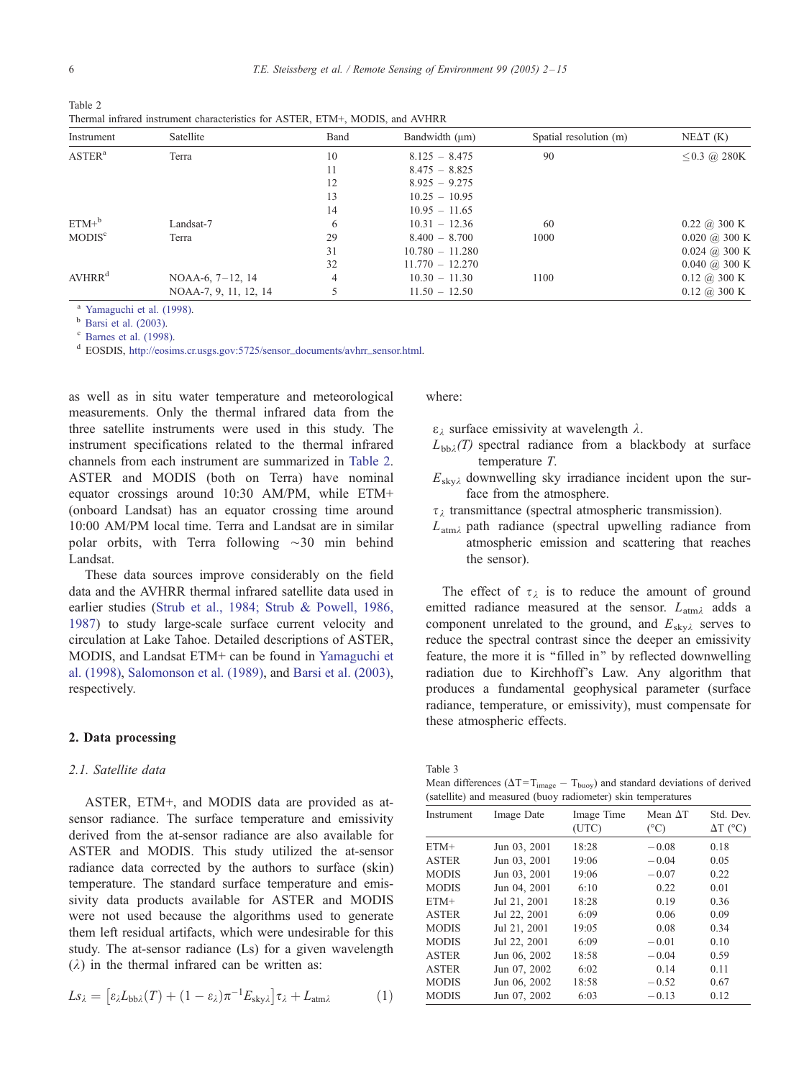<span id="page-4-0"></span>

| Table 2                                                                       |  |  |  |
|-------------------------------------------------------------------------------|--|--|--|
| Thermal infrared instrument characteristics for ASTER, ETM+, MODIS, and AVHRR |  |  |  |

| Instrument             | Satellite             | Band | Bandwidth (µm)    | Spatial resolution (m) | $NE\Delta T$ (K)                |
|------------------------|-----------------------|------|-------------------|------------------------|---------------------------------|
| ASTER <sup>a</sup>     | Terra                 | 10   | $8.125 - 8.475$   | 90                     | $\leq$ 0.3 @ 280K               |
|                        |                       | 11   | $8.475 - 8.825$   |                        |                                 |
|                        |                       | 12   | $8.925 - 9.275$   |                        |                                 |
|                        |                       | 13   | $10.25 - 10.95$   |                        |                                 |
|                        |                       | 14   | $10.95 - 11.65$   |                        |                                 |
| $ETM+^b$               | Landsat-7             | 6    | $10.31 - 12.36$   | 60                     | $0.22 \; (a) 300 \; K$          |
| MODIS <sup>c</sup>     | Terra                 | 29   | $8.400 - 8.700$   | 1000                   | $0.020 \; (\partial)$ 300 K     |
|                        |                       | 31   | $10.780 - 11.280$ |                        | $0.024$ (a) 300 K               |
|                        |                       | 32   | $11.770 - 12.270$ |                        | $0.040 \; (\partial)$ 300 K     |
| A V H R R <sup>d</sup> | $NOAA-6, 7-12, 14$    | 4    | $10.30 - 11.30$   | 1100                   | $0.12 \; \textcircled{a}$ 300 K |
|                        | NOAA-7, 9, 11, 12, 14 |      | $11.50 - 12.50$   |                        | $0.12 \; (\omega)$ 300 K        |

<sup>a</sup> [Yamaguchi et al. \(1998\).](#page-13-0)<br><sup>b</sup> [Barsi et al. \(2003\).](#page-13-0)<br><sup>c</sup> [Barnes et al. \(1998\).](#page-13-0)

<sup>d</sup> EOSDIS, [http://eosims.cr.usgs.gov:5725/sensor\\_documents/avhrr\\_sensor.html.](http://eosims.cr.usgs.gov:5725/sensor_documents/avhrr_sensor.html)

as well as in situ water temperature and meteorological measurements. Only the thermal infrared data from the three satellite instruments were used in this study. The instrument specifications related to the thermal infrared channels from each instrument are summarized in Table 2. ASTER and MODIS (both on Terra) have nominal equator crossings around 10:30 AM/PM, while ETM+ (onboard Landsat) has an equator crossing time around 10:00 AM/PM local time. Terra and Landsat are in similar polar orbits, with Terra following  $\sim$ 30 min behind Landsat.

These data sources improve considerably on the field data and the AVHRR thermal infrared satellite data used in earlier studies ([Strub et al., 1984; Strub & Powell, 1986,](#page-13-0) 1987) to study large-scale surface current velocity and circulation at Lake Tahoe. Detailed descriptions of ASTER, MODIS, and Landsat ETM+ can be found in [Yamaguchi et](#page-13-0) al. (1998), [Salomonson et al. \(1989\),](#page-13-0) and [Barsi et al. \(2003\),](#page-13-0) respectively.

## 2. Data processing

### 2.1. Satellite data

ASTER, ETM+, and MODIS data are provided as atsensor radiance. The surface temperature and emissivity derived from the at-sensor radiance are also available for ASTER and MODIS. This study utilized the at-sensor radiance data corrected by the authors to surface (skin) temperature. The standard surface temperature and emissivity data products available for ASTER and MODIS were not used because the algorithms used to generate them left residual artifacts, which were undesirable for this study. The at-sensor radiance (Ls) for a given wavelength  $(\lambda)$  in the thermal infrared can be written as:

$$
Ls_{\lambda} = \left[\varepsilon_{\lambda}L_{\text{bb}\lambda}(T) + (1 - \varepsilon_{\lambda})\pi^{-1}E_{\text{sky}\lambda}\right]\tau_{\lambda} + L_{\text{atm}\lambda} \tag{1}
$$

where:

 $\epsilon_{\lambda}$  surface emissivity at wavelength  $\lambda$ .

- $L_{bb\lambda}(T)$  spectral radiance from a blackbody at surface temperature T.
- $E_{\text{sky2}}$  downwelling sky irradiance incident upon the surface from the atmosphere.
- $\tau_{\lambda}$  transmittance (spectral atmospheric transmission).
- $L_{atm\lambda}$  path radiance (spectral upwelling radiance from atmospheric emission and scattering that reaches the sensor).

The effect of  $\tau_{\lambda}$  is to reduce the amount of ground emitted radiance measured at the sensor.  $L_{atm\lambda}$  adds a component unrelated to the ground, and  $E_{\text{sky}}$  serves to reduce the spectral contrast since the deeper an emissivity feature, the more it is ''filled in'' by reflected downwelling radiation due to Kirchhoff's Law. Any algorithm that produces a fundamental geophysical parameter (surface radiance, temperature, or emissivity), must compensate for these atmospheric effects.

|--|

Mean differences  $(\Delta T = T_{image} - T_{buoy})$  and standard deviations of derived (satellite) and measured (buoy radiometer) skin temperatures

| $\alpha$ (satemet) and measured (buo) radiometer) skin temperatures |              |                     |                                  |                              |  |  |  |
|---------------------------------------------------------------------|--------------|---------------------|----------------------------------|------------------------------|--|--|--|
| Instrument                                                          | Image Date   | Image Time<br>(UTC) | Mean $\Delta T$<br>$(^{\circ}C)$ | Std. Dev.<br>$\Delta T$ (°C) |  |  |  |
| $ETM+$                                                              | Jun 03, 2001 | 18:28               | $-0.08$                          | 0.18                         |  |  |  |
| <b>ASTER</b>                                                        | Jun 03, 2001 | 19:06               | $-0.04$                          | 0.05                         |  |  |  |
| <b>MODIS</b>                                                        | Jun 03, 2001 | 19:06               | $-0.07$                          | 0.22                         |  |  |  |
| <b>MODIS</b>                                                        | Jun 04, 2001 | 6:10                | 0.22                             | 0.01                         |  |  |  |
| $ETM+$                                                              | Jul 21, 2001 | 18:28               | 0.19                             | 0.36                         |  |  |  |
| <b>ASTER</b>                                                        | Jul 22, 2001 | 6:09                | 0.06                             | 0.09                         |  |  |  |
| <b>MODIS</b>                                                        | Jul 21, 2001 | 19:05               | 0.08                             | 0.34                         |  |  |  |
| <b>MODIS</b>                                                        | Jul 22, 2001 | 6:09                | $-0.01$                          | 0.10                         |  |  |  |
| <b>ASTER</b>                                                        | Jun 06, 2002 | 18:58               | $-0.04$                          | 0.59                         |  |  |  |
| <b>ASTER</b>                                                        | Jun 07, 2002 | 6:02                | 0.14                             | 0.11                         |  |  |  |
| <b>MODIS</b>                                                        | Jun 06, 2002 | 18:58               | $-0.52$                          | 0.67                         |  |  |  |
| <b>MODIS</b>                                                        | Jun 07, 2002 | 6:03                | $-0.13$                          | 0.12                         |  |  |  |
|                                                                     |              |                     |                                  |                              |  |  |  |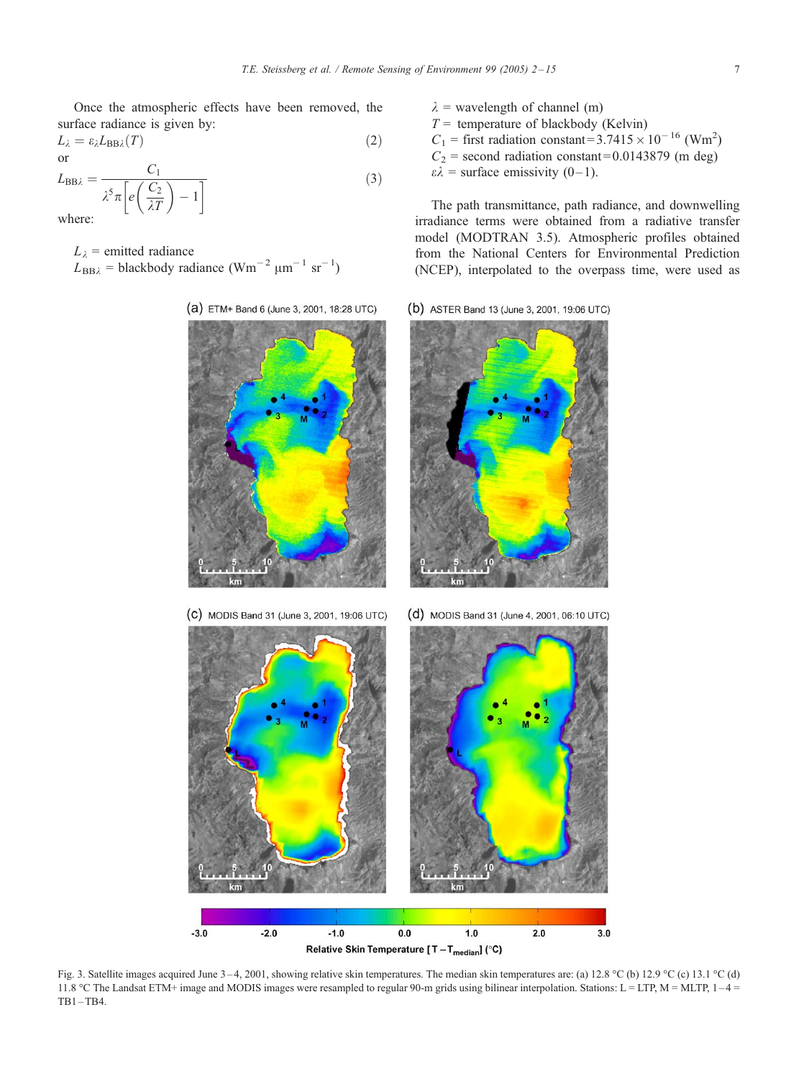<span id="page-5-0"></span>Once the atmospheric effects have been removed, the surface radiance is given by:

$$
L_{\lambda} = \varepsilon_{\lambda} L_{\text{BB}\lambda}(T) \tag{2}
$$

$$
L_{\rm BB\lambda} = \frac{C_1}{\lambda^5 \pi \left[ e \left( \frac{C_2}{\lambda T} \right) - 1 \right]}
$$
 (3) where:

where:

- $L_{\lambda}$  = emitted radiance  $L_{\text{BB}\lambda}$  = blackbody radiance (Wm<sup>-2</sup> µm<sup>-1</sup> sr<sup>-1</sup>)
	- (a) ETM+ Band 6 (June 3, 2001, 18:28 UTC) (C) MODIS Band 31 (June 3, 2001, 19:06 UTC) (d) MODIS Band 31 (June 4, 2001, 06:10 UTC)

 $\lambda$  = wavelength of channel (m)  $T =$  temperature of blackbody (Kelvin)  $C_1$  = first radiation constant=3.7415 × 10<sup>-16</sup> (Wm<sup>2</sup>)  $C_2$  = second radiation constant=0.0143879 (m deg)  $\varepsilon \lambda$  = surface emissivity (0–1).

The path transmittance, path radiance, and downwelling irradiance terms were obtained from a radiative transfer model (MODTRAN 3.5). Atmospheric profiles obtained from the National Centers for Environmental Prediction (NCEP), interpolated to the overpass time, were used as

(b) ASTER Band 13 (June 3, 2001, 19:06 UTC)



 $-2.0$  $-1.0$  $1.0$  $2.0$  $-3.0$  $0.0$  $3.0$ Relative Skin Temperature [T-T<sub>median</sub>] (°C)

Fig. 3. Satellite images acquired June 3–4, 2001, showing relative skin temperatures. The median skin temperatures are: (a) 12.8 °C (b) 12.9 °C (c) 13.1 °C (d) 11.8 °C The Landsat ETM+ image and MODIS images were resampled to regular 90-m grids using bilinear interpolation. Stations: L = LTP, M = MLTP, 1-4 =  $TB1-TB4.$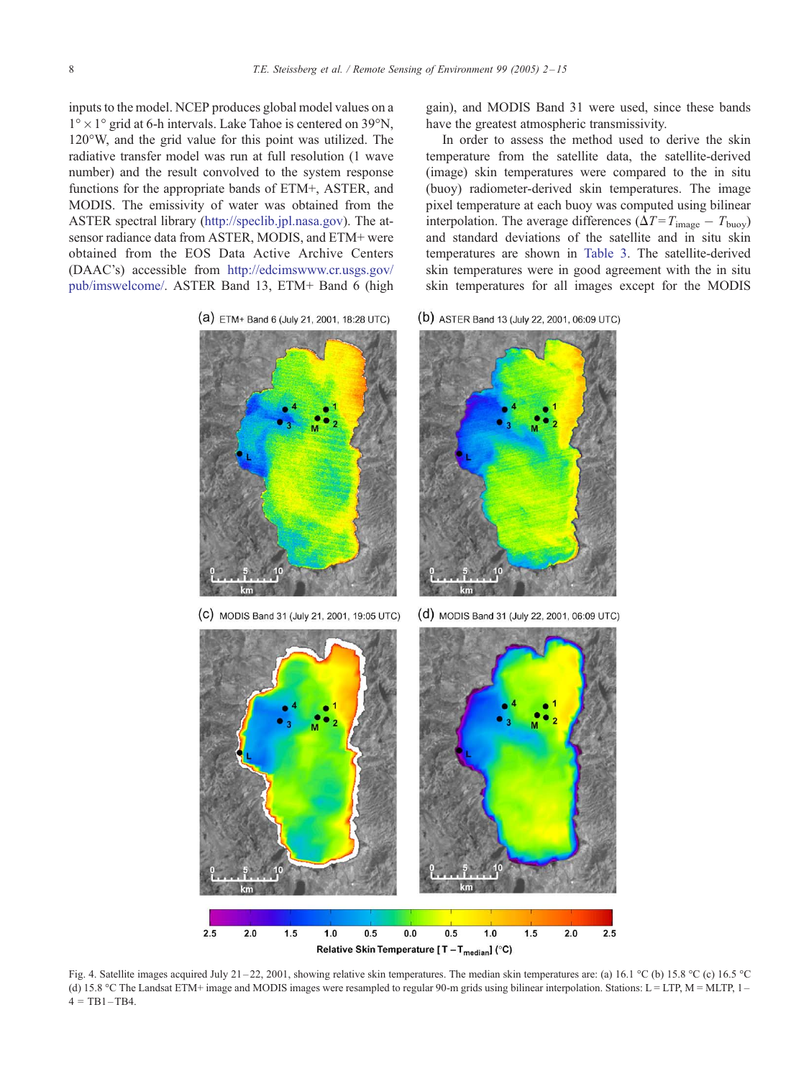<span id="page-6-0"></span>inputs to the model. NCEP produces global model values on a  $1^{\circ} \times 1^{\circ}$  grid at 6-h intervals. Lake Tahoe is centered on 39 $^{\circ}$ N,  $120^{\circ}$ W, and the grid value for this point was utilized. The radiative transfer model was run at full resolution (1 wave number) and the result convolved to the system response functions for the appropriate bands of ETM+, ASTER, and MODIS. The emissivity of water was obtained from the ASTER spectral library ([http://speclib.jpl.nasa.gov\)](http://speclib.jpl.nasa.gov). The atsensor radiance data from ASTER, MODIS, and ETM+ were obtained from the EOS Data Active Archive Centers (DAAC's) accessible from [http://edcimswww.cr.usgs.gov/](http://edcimswww.cr.usgs.gov/pub/imswelcome/) pub/imswelcome/. ASTER Band 13, ETM+ Band 6 (high

(a) ETM+ Band 6 (July 21, 2001, 18:28 UTC)

gain), and MODIS Band 31 were used, since these bands have the greatest atmospheric transmissivity.

In order to assess the method used to derive the skin temperature from the satellite data, the satellite-derived (image) skin temperatures were compared to the in situ (buoy) radiometer-derived skin temperatures. The image pixel temperature at each buoy was computed using bilinear interpolation. The average differences ( $\Delta T = T_{\text{image}} - T_{\text{buoy}}$ ) and standard deviations of the satellite and in situ skin temperatures are shown in [Table 3.](#page-4-0) The satellite-derived skin temperatures were in good agreement with the in situ skin temperatures for all images except for the MODIS

(b) ASTER Band 13 (July 22, 2001, 06:09 UTC)



Fig. 4. Satellite images acquired July 21-22, 2001, showing relative skin temperatures. The median skin temperatures are: (a) 16.1 °C (b) 15.8 °C (c) 16.5 °C (d) 15.8 -C The Landsat ETM+ image and MODIS images were resampled to regular 90-m grids using bilinear interpolation. Stations: L = LTP, M = MLTP, 1 –  $4 = TB1 - TB4.$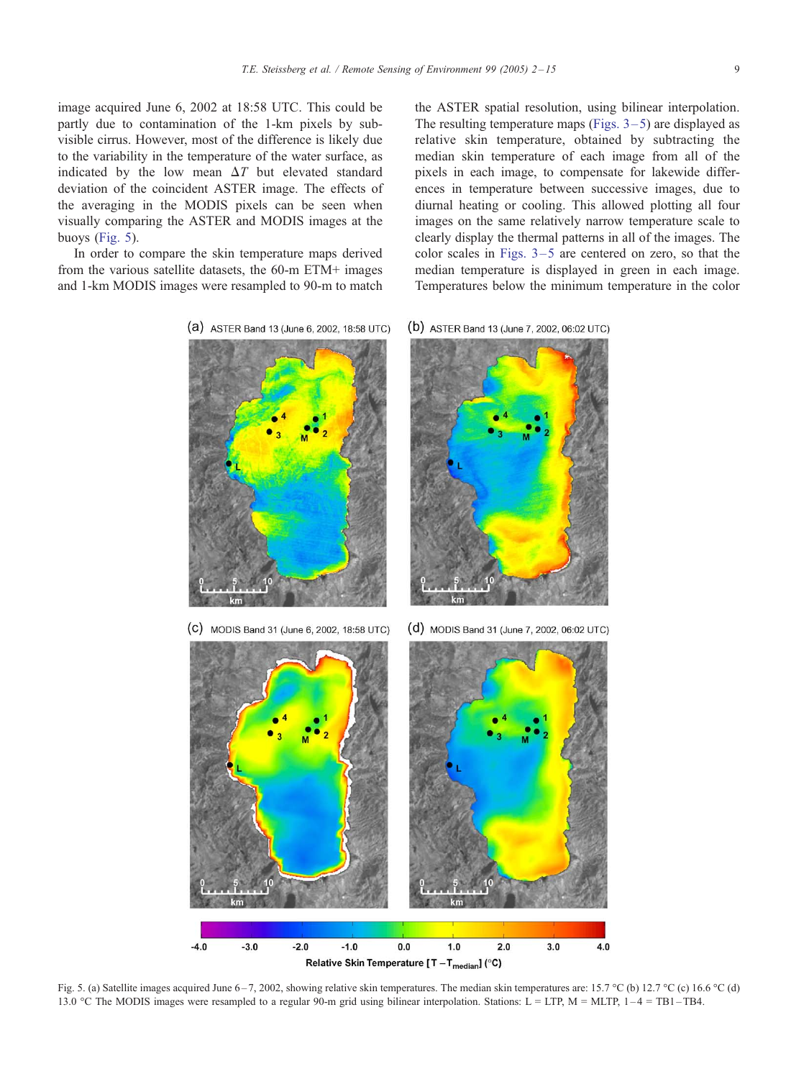<span id="page-7-0"></span>image acquired June 6, 2002 at 18:58 UTC. This could be partly due to contamination of the 1-km pixels by subvisible cirrus. However, most of the difference is likely due to the variability in the temperature of the water surface, as indicated by the low mean  $\Delta T$  but elevated standard deviation of the coincident ASTER image. The effects of the averaging in the MODIS pixels can be seen when visually comparing the ASTER and MODIS images at the buoys (Fig. 5).

In order to compare the skin temperature maps derived from the various satellite datasets, the 60-m ETM+ images and 1-km MODIS images were resampled to 90-m to match

the ASTER spatial resolution, using bilinear interpolation. The resulting temperature maps (Figs.  $3-5$ ) are displayed as relative skin temperature, obtained by subtracting the median skin temperature of each image from all of the pixels in each image, to compensate for lakewide differences in temperature between successive images, due to diurnal heating or cooling. This allowed plotting all four images on the same relatively narrow temperature scale to clearly display the thermal patterns in all of the images. The color scales in Figs.  $3-5$  are centered on zero, so that the median temperature is displayed in green in each image. Temperatures below the minimum temperature in the color

(a) ASTER Band 13 (June 6, 2002, 18:58 UTC) (b) ASTER Band 13 (June 7, 2002, 06:02 UTC)

(C) MODIS Band 31 (June 6, 2002, 18:58 UTC) (d) MODIS Band 31 (June 7, 2002, 06:02 UTC)  $-4.0$  $-3.0$  $-2.0$  $-10$  $0.0$  $1.0$  $20$  $3.0$  $4.0$ 

Relative Skin Temperature [T - T<sub>median</sub>] (°C)

Fig. 5. (a) Satellite images acquired June 6-7, 2002, showing relative skin temperatures. The median skin temperatures are: 15.7 °C (b) 12.7 °C (c) 16.6 °C (d) 13.0 °C The MODIS images were resampled to a regular 90-m grid using bilinear interpolation. Stations: L = LTP, M = MLTP, 1-4 = TB1-TB4.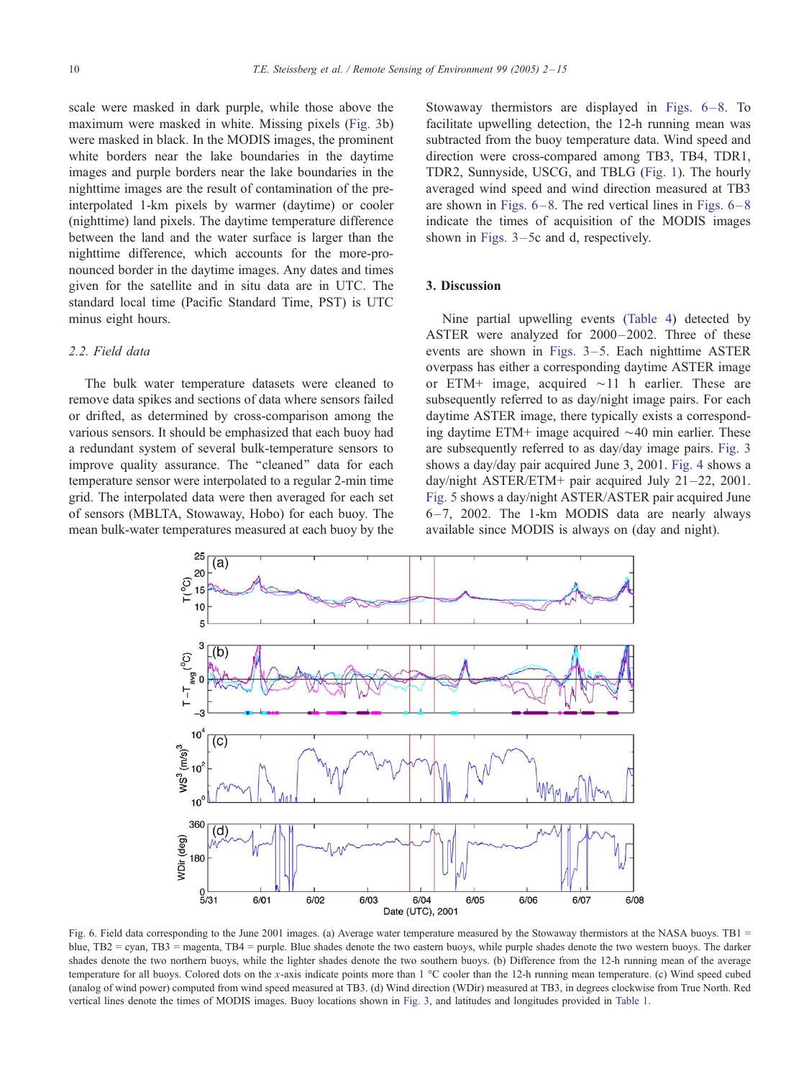<span id="page-8-0"></span>scale were masked in dark purple, while those above the maximum were masked in white. Missing pixels ([Fig. 3b](#page-5-0)) were masked in black. In the MODIS images, the prominent white borders near the lake boundaries in the daytime images and purple borders near the lake boundaries in the nighttime images are the result of contamination of the preinterpolated 1-km pixels by warmer (daytime) or cooler (nighttime) land pixels. The daytime temperature difference between the land and the water surface is larger than the nighttime difference, which accounts for the more-pronounced border in the daytime images. Any dates and times given for the satellite and in situ data are in UTC. The standard local time (Pacific Standard Time, PST) is UTC minus eight hours.

## 2.2. Field data

The bulk water temperature datasets were cleaned to remove data spikes and sections of data where sensors failed or drifted, as determined by cross-comparison among the various sensors. It should be emphasized that each buoy had a redundant system of several bulk-temperature sensors to improve quality assurance. The ''cleaned'' data for each temperature sensor were interpolated to a regular 2-min time grid. The interpolated data were then averaged for each set of sensors (MBLTA, Stowaway, Hobo) for each buoy. The mean bulk-water temperatures measured at each buoy by the

Stowaway thermistors are displayed in Figs.  $6-8$ . To facilitate upwelling detection, the 12-h running mean was subtracted from the buoy temperature data. Wind speed and direction were cross-compared among TB3, TB4, TDR1, TDR2, Sunnyside, USCG, and TBLG ([Fig. 1\)](#page-1-0). The hourly averaged wind speed and wind direction measured at TB3 are shown in Figs.  $6-8$ . The red vertical lines in Figs.  $6-8$ indicate the times of acquisition of the MODIS images shown in Figs.  $3-5c$  and d, respectively.

## 3. Discussion

Nine partial upwelling events ([Table 4\)](#page-10-0) detected by ASTER were analyzed for 2000-2002. Three of these events are shown in Figs.  $3-5$ . Each nighttime ASTER overpass has either a corresponding daytime ASTER image or ETM+ image, acquired  $\sim$ 11 h earlier. These are subsequently referred to as day/night image pairs. For each daytime ASTER image, there typically exists a corresponding daytime ETM+ image acquired  $\sim$ 40 min earlier. These are subsequently referred to as day/day image pairs. [Fig. 3](#page-5-0) shows a day/day pair acquired June 3, 2001. [Fig. 4](#page-6-0) shows a day/night ASTER/ETM+ pair acquired July 21 –22, 2001. [Fig. 5](#page-7-0) shows a day/night ASTER/ASTER pair acquired June  $6-7$ , 2002. The 1-km MODIS data are nearly always available since MODIS is always on (day and night).



Fig. 6. Field data corresponding to the June 2001 images. (a) Average water temperature measured by the Stowaway thermistors at the NASA buoys. TB1 = blue, TB2 = cyan, TB3 = magenta, TB4 = purple. Blue shades denote the two eastern buoys, while purple shades denote the two western buoys. The darker shades denote the two northern buoys, while the lighter shades denote the two southern buoys. (b) Difference from the 12-h running mean of the average temperature for all buoys. Colored dots on the x-axis indicate points more than  $1 \degree$ C cooler than the 12-h running mean temperature. (c) Wind speed cubed (analog of wind power) computed from wind speed measured at TB3. (d) Wind direction (WDir) measured at TB3, in degrees clockwise from True North. Red vertical lines denote the times of MODIS images. Buoy locations shown in [Fig. 3,](#page-5-0) and latitudes and longitudes provided in [Table 1.](#page-3-0)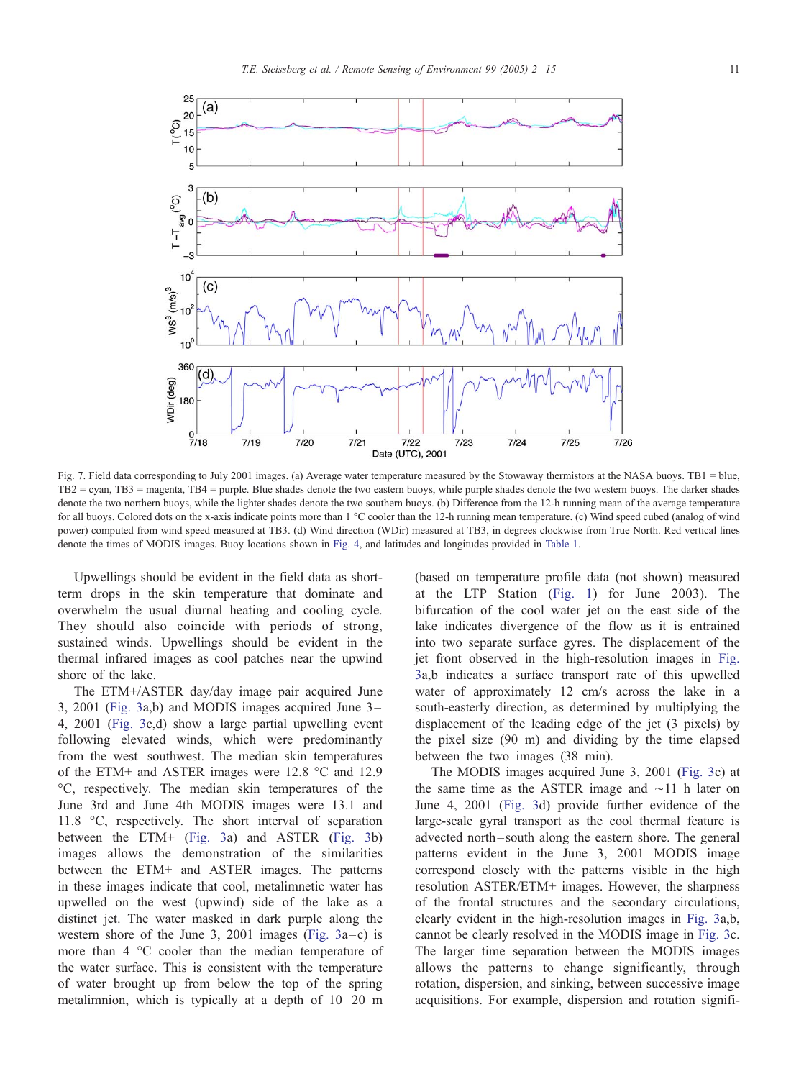<span id="page-9-0"></span>

Fig. 7. Field data corresponding to July 2001 images. (a) Average water temperature measured by the Stowaway thermistors at the NASA buoys. TB1 = blue, TB2 = cyan, TB3 = magenta, TB4 = purple. Blue shades denote the two eastern buoys, while purple shades denote the two western buoys. The darker shades denote the two northern buoys, while the lighter shades denote the two southern buoys. (b) Difference from the 12-h running mean of the average temperature for all buoys. Colored dots on the x-axis indicate points more than 1 °C cooler than the 12-h running mean temperature. (c) Wind speed cubed (analog of wind power) computed from wind speed measured at TB3. (d) Wind direction (WDir) measured at TB3, in degrees clockwise from True North. Red vertical lines denote the times of MODIS images. Buoy locations shown in [Fig. 4,](#page-6-0) and latitudes and longitudes provided in [Table 1.](#page-3-0)

Upwellings should be evident in the field data as shortterm drops in the skin temperature that dominate and overwhelm the usual diurnal heating and cooling cycle. They should also coincide with periods of strong, sustained winds. Upwellings should be evident in the thermal infrared images as cool patches near the upwind shore of the lake.

The ETM+/ASTER day/day image pair acquired June 3, 2001 ([Fig. 3a](#page-5-0),b) and MODIS images acquired June 3 – 4, 2001 ([Fig. 3c](#page-5-0),d) show a large partial upwelling event following elevated winds, which were predominantly from the west-southwest. The median skin temperatures of the ETM+ and ASTER images were 12.8  $\degree$ C and 12.9 -C, respectively. The median skin temperatures of the June 3rd and June 4th MODIS images were 13.1 and 11.8  $\degree$ C, respectively. The short interval of separation between the ETM+ ([Fig. 3a](#page-5-0)) and ASTER ([Fig. 3b](#page-5-0)) images allows the demonstration of the similarities between the ETM+ and ASTER images. The patterns in these images indicate that cool, metalimnetic water has upwelled on the west (upwind) side of the lake as a distinct jet. The water masked in dark purple along the western shore of the June 3, 2001 images (Fig.  $3a-c$ ) is more than  $4 \degree$ C cooler than the median temperature of the water surface. This is consistent with the temperature of water brought up from below the top of the spring metalimnion, which is typically at a depth of  $10-20$  m (based on temperature profile data (not shown) measured at the LTP Station ([Fig. 1\)](#page-1-0) for June 2003). The bifurcation of the cool water jet on the east side of the lake indicates divergence of the flow as it is entrained into two separate surface gyres. The displacement of the jet front observed in the high-resolution images in [Fig.](#page-5-0) 3a,b indicates a surface transport rate of this upwelled water of approximately 12 cm/s across the lake in a south-easterly direction, as determined by multiplying the displacement of the leading edge of the jet (3 pixels) by the pixel size (90 m) and dividing by the time elapsed between the two images (38 min).

The MODIS images acquired June 3, 2001 ([Fig. 3c](#page-5-0)) at the same time as the ASTER image and  $\sim$ 11 h later on June 4, 2001 ([Fig. 3d](#page-5-0)) provide further evidence of the large-scale gyral transport as the cool thermal feature is advected north – south along the eastern shore. The general patterns evident in the June 3, 2001 MODIS image correspond closely with the patterns visible in the high resolution ASTER/ETM+ images. However, the sharpness of the frontal structures and the secondary circulations, clearly evident in the high-resolution images in [Fig. 3a](#page-5-0),b, cannot be clearly resolved in the MODIS image in [Fig. 3c](#page-5-0). The larger time separation between the MODIS images allows the patterns to change significantly, through rotation, dispersion, and sinking, between successive image acquisitions. For example, dispersion and rotation signifi-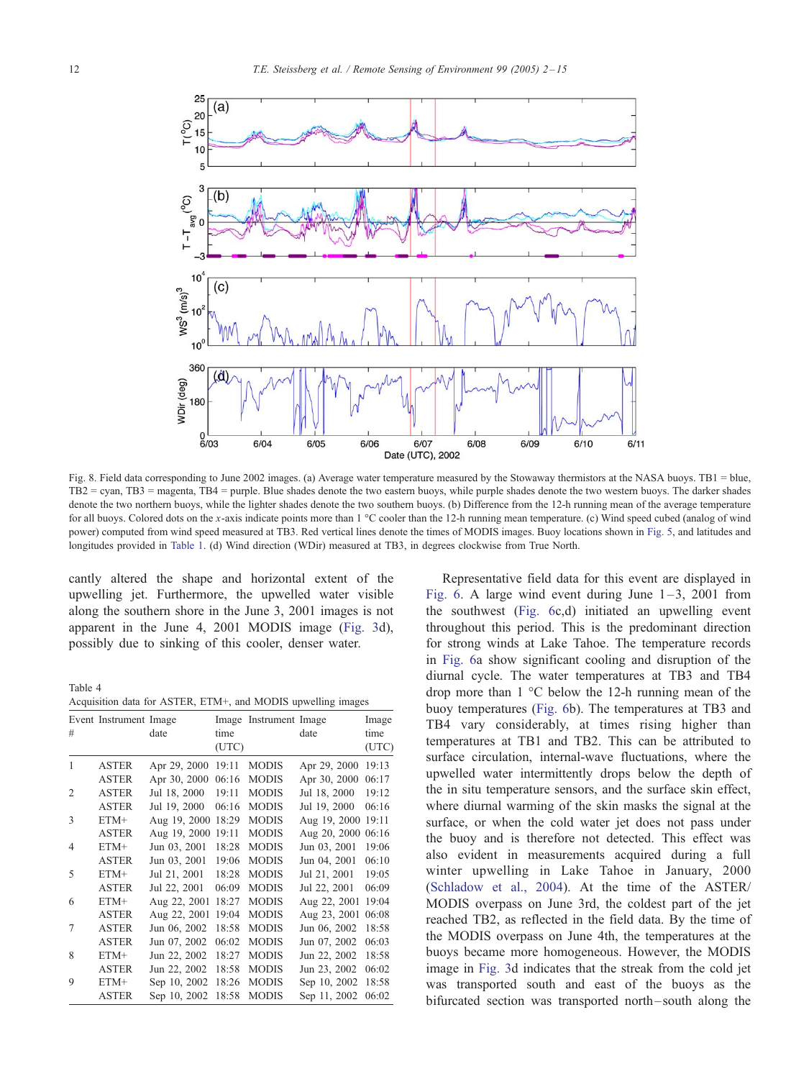<span id="page-10-0"></span>

Fig. 8. Field data corresponding to June 2002 images. (a) Average water temperature measured by the Stowaway thermistors at the NASA buoys. TB1 = blue, TB2 = cyan, TB3 = magenta, TB4 = purple. Blue shades denote the two eastern buoys, while purple shades denote the two western buoys. The darker shades denote the two northern buoys, while the lighter shades denote the two southern buoys. (b) Difference from the 12-h running mean of the average temperature for all buoys. Colored dots on the x-axis indicate points more than  $1 \degree$ C cooler than the 12-h running mean temperature. (c) Wind speed cubed (analog of wind power) computed from wind speed measured at TB3. Red vertical lines denote the times of MODIS images. Buoy locations shown in [Fig. 5,](#page-7-0) and latitudes and longitudes provided in [Table 1.](#page-3-0) (d) Wind direction (WDir) measured at TB3, in degrees clockwise from True North.

cantly altered the shape and horizontal extent of the upwelling jet. Furthermore, the upwelled water visible along the southern shore in the June 3, 2001 images is not apparent in the June 4, 2001 MODIS image ([Fig. 3d](#page-5-0)), possibly due to sinking of this cooler, denser water.

Table 4

Acquisition data for ASTER, ETM+, and MODIS upwelling images

| #              | Event Instrument Image | date         | Image<br>time<br>(UTC) | Instrument Image | date               | Image<br>time<br>(UTC) |
|----------------|------------------------|--------------|------------------------|------------------|--------------------|------------------------|
| 1              | <b>ASTER</b>           | Apr 29, 2000 | 19:11                  | <b>MODIS</b>     | Apr 29, 2000       | 19:13                  |
|                | <b>ASTER</b>           | Apr 30, 2000 | 06:16                  | <b>MODIS</b>     | Apr 30, 2000       | 06:17                  |
| $\overline{2}$ | <b>ASTER</b>           | Jul 18, 2000 | 19:11                  | <b>MODIS</b>     | Jul 18, 2000       | 19:12                  |
|                | <b>ASTER</b>           | Jul 19, 2000 | 06:16                  | <b>MODIS</b>     | Jul 19, 2000       | 06:16                  |
| 3              | $ETM+$                 | Aug 19, 2000 | 18:29                  | <b>MODIS</b>     | Aug 19, 2000       | 19:11                  |
|                | <b>ASTER</b>           | Aug 19, 2000 | 19:11                  | <b>MODIS</b>     | Aug 20, 2000 06:16 |                        |
| $\overline{4}$ | $ETM+$                 | Jun 03, 2001 | 18:28                  | <b>MODIS</b>     | Jun 03, 2001       | 19:06                  |
|                | <b>ASTER</b>           | Jun 03, 2001 | 19:06                  | <b>MODIS</b>     | Jun 04, 2001       | 06:10                  |
| 5              | $ETM+$                 | Jul 21, 2001 | 18:28                  | <b>MODIS</b>     | Jul 21, 2001       | 19:05                  |
|                | <b>ASTER</b>           | Jul 22, 2001 | 06:09                  | <b>MODIS</b>     | Jul 22, 2001       | 06:09                  |
| 6              | $ETM+$                 | Aug 22, 2001 | 18:27                  | <b>MODIS</b>     | Aug 22, 2001       | 19:04                  |
|                | <b>ASTER</b>           | Aug 22, 2001 | 19:04                  | <b>MODIS</b>     | Aug 23, 2001       | 06:08                  |
| 7              | <b>ASTER</b>           | Jun 06, 2002 | 18:58                  | <b>MODIS</b>     | Jun 06, 2002       | 18:58                  |
|                | <b>ASTER</b>           | Jun 07, 2002 | 06:02                  | <b>MODIS</b>     | Jun 07, 2002       | 06:03                  |
| 8              | $ETM+$                 | Jun 22, 2002 | 18:27                  | <b>MODIS</b>     | Jun 22, 2002       | 18:58                  |
|                | <b>ASTER</b>           | Jun 22, 2002 | 18:58                  | <b>MODIS</b>     | Jun 23, 2002       | 06:02                  |
| 9              | $ETM+$                 | Sep 10, 2002 | 18:26                  | <b>MODIS</b>     | Sep 10, 2002       | 18:58                  |
|                | <b>ASTER</b>           | Sep 10, 2002 | 18:58                  | <b>MODIS</b>     | Sep 11, 2002       | 06:02                  |

Representative field data for this event are displayed in [Fig. 6.](#page-8-0) A large wind event during June  $1-3$ , 2001 from the southwest ([Fig. 6c](#page-8-0),d) initiated an upwelling event throughout this period. This is the predominant direction for strong winds at Lake Tahoe. The temperature records in [Fig. 6a](#page-8-0) show significant cooling and disruption of the diurnal cycle. The water temperatures at TB3 and TB4 drop more than  $1 \degree C$  below the 12-h running mean of the buoy temperatures ([Fig. 6b](#page-8-0)). The temperatures at TB3 and TB4 vary considerably, at times rising higher than temperatures at TB1 and TB2. This can be attributed to surface circulation, internal-wave fluctuations, where the upwelled water intermittently drops below the depth of the in situ temperature sensors, and the surface skin effect, where diurnal warming of the skin masks the signal at the surface, or when the cold water jet does not pass under the buoy and is therefore not detected. This effect was also evident in measurements acquired during a full winter upwelling in Lake Tahoe in January, 2000 ([Schladow et al., 2004\)](#page-13-0). At the time of the ASTER/ MODIS overpass on June 3rd, the coldest part of the jet reached TB2, as reflected in the field data. By the time of the MODIS overpass on June 4th, the temperatures at the buoys became more homogeneous. However, the MODIS image in [Fig. 3d](#page-5-0) indicates that the streak from the cold jet was transported south and east of the buoys as the bifurcated section was transported north – south along the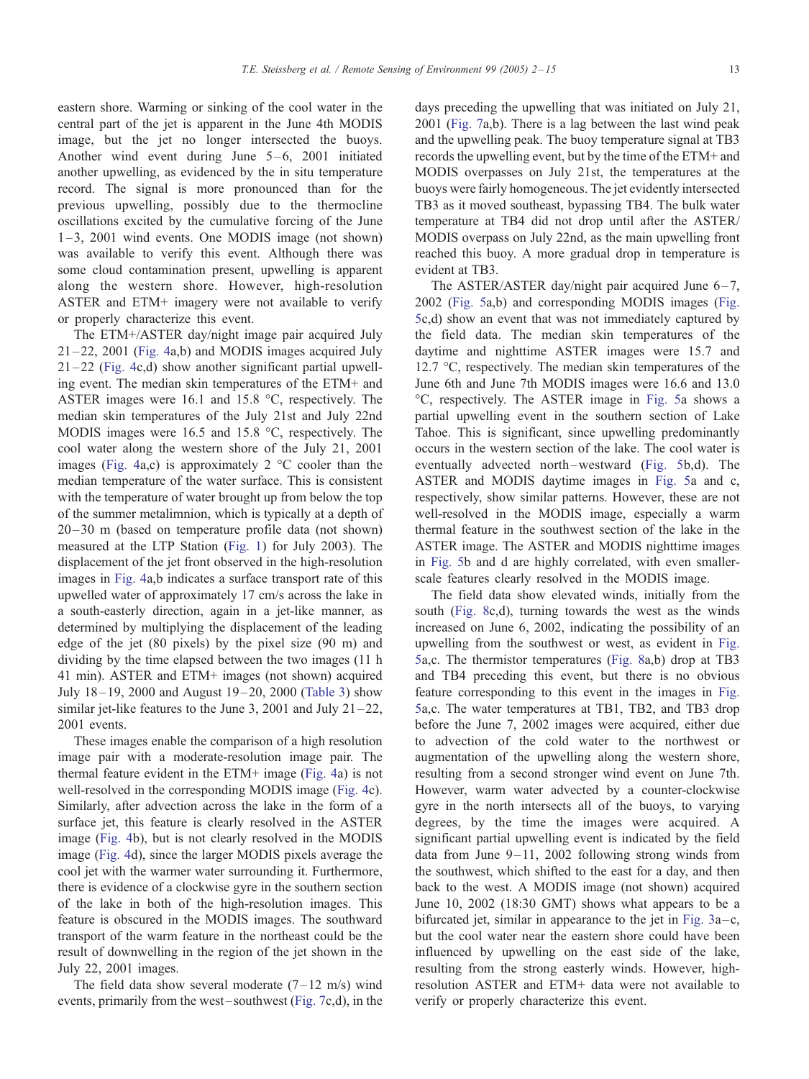eastern shore. Warming or sinking of the cool water in the central part of the jet is apparent in the June 4th MODIS image, but the jet no longer intersected the buoys. Another wind event during June  $5-6$ , 2001 initiated another upwelling, as evidenced by the in situ temperature record. The signal is more pronounced than for the previous upwelling, possibly due to the thermocline oscillations excited by the cumulative forcing of the June 1 –3, 2001 wind events. One MODIS image (not shown) was available to verify this event. Although there was some cloud contamination present, upwelling is apparent along the western shore. However, high-resolution ASTER and ETM+ imagery were not available to verify or properly characterize this event.

The ETM+/ASTER day/night image pair acquired July 21 –22, 2001 ([Fig. 4a](#page-6-0),b) and MODIS images acquired July 21 –22 ([Fig. 4c](#page-6-0),d) show another significant partial upwelling event. The median skin temperatures of the ETM+ and ASTER images were 16.1 and 15.8  $\degree$ C, respectively. The median skin temperatures of the July 21st and July 22nd MODIS images were  $16.5$  and  $15.8$  °C, respectively. The cool water along the western shore of the July 21, 2001 images [\(Fig. 4a](#page-6-0),c) is approximately  $2 \text{ }^{\circ}$ C cooler than the median temperature of the water surface. This is consistent with the temperature of water brought up from below the top of the summer metalimnion, which is typically at a depth of 20 –30 m (based on temperature profile data (not shown) measured at the LTP Station ([Fig. 1\)](#page-1-0) for July 2003). The displacement of the jet front observed in the high-resolution images in [Fig. 4a](#page-6-0),b indicates a surface transport rate of this upwelled water of approximately 17 cm/s across the lake in a south-easterly direction, again in a jet-like manner, as determined by multiplying the displacement of the leading edge of the jet (80 pixels) by the pixel size (90 m) and dividing by the time elapsed between the two images (11 h 41 min). ASTER and ETM+ images (not shown) acquired July 18 – 19, 2000 and August 19 – 20, 2000 ([Table 3\)](#page-4-0) show similar jet-like features to the June 3, 2001 and July  $21 - 22$ , 2001 events.

These images enable the comparison of a high resolution image pair with a moderate-resolution image pair. The thermal feature evident in the ETM+ image ([Fig. 4a](#page-6-0)) is not well-resolved in the corresponding MODIS image ([Fig. 4c](#page-6-0)). Similarly, after advection across the lake in the form of a surface jet, this feature is clearly resolved in the ASTER image ([Fig. 4b](#page-6-0)), but is not clearly resolved in the MODIS image ([Fig. 4d](#page-6-0)), since the larger MODIS pixels average the cool jet with the warmer water surrounding it. Furthermore, there is evidence of a clockwise gyre in the southern section of the lake in both of the high-resolution images. This feature is obscured in the MODIS images. The southward transport of the warm feature in the northeast could be the result of downwelling in the region of the jet shown in the July 22, 2001 images.

The field data show several moderate  $(7-12 \text{ m/s})$  wind events, primarily from the west – southwest ([Fig. 7c](#page-9-0),d), in the

days preceding the upwelling that was initiated on July 21, 2001 ([Fig. 7a](#page-9-0),b). There is a lag between the last wind peak and the upwelling peak. The buoy temperature signal at TB3 records the upwelling event, but by the time of the ETM+ and MODIS overpasses on July 21st, the temperatures at the buoys were fairly homogeneous. The jet evidently intersected TB3 as it moved southeast, bypassing TB4. The bulk water temperature at TB4 did not drop until after the ASTER/ MODIS overpass on July 22nd, as the main upwelling front reached this buoy. A more gradual drop in temperature is evident at TB3.

The ASTER/ASTER day/night pair acquired June  $6-7$ , 2002 ([Fig. 5a](#page-7-0),b) and corresponding MODIS images ([Fig.](#page-7-0) 5c,d) show an event that was not immediately captured by the field data. The median skin temperatures of the daytime and nighttime ASTER images were 15.7 and 12.7  $\degree$ C, respectively. The median skin temperatures of the June 6th and June 7th MODIS images were 16.6 and 13.0 -C, respectively. The ASTER image in [Fig. 5a](#page-7-0) shows a partial upwelling event in the southern section of Lake Tahoe. This is significant, since upwelling predominantly occurs in the western section of the lake. The cool water is eventually advected north-westward ([Fig. 5b](#page-7-0),d). The ASTER and MODIS daytime images in [Fig. 5a](#page-7-0) and c, respectively, show similar patterns. However, these are not well-resolved in the MODIS image, especially a warm thermal feature in the southwest section of the lake in the ASTER image. The ASTER and MODIS nighttime images in [Fig. 5b](#page-7-0) and d are highly correlated, with even smallerscale features clearly resolved in the MODIS image.

The field data show elevated winds, initially from the south ([Fig. 8c](#page-10-0),d), turning towards the west as the winds increased on June 6, 2002, indicating the possibility of an upwelling from the southwest or west, as evident in [Fig.](#page-7-0) 5a,c. The thermistor temperatures ([Fig. 8a](#page-10-0),b) drop at TB3 and TB4 preceding this event, but there is no obvious feature corresponding to this event in the images in [Fig.](#page-7-0) 5a,c. The water temperatures at TB1, TB2, and TB3 drop before the June 7, 2002 images were acquired, either due to advection of the cold water to the northwest or augmentation of the upwelling along the western shore, resulting from a second stronger wind event on June 7th. However, warm water advected by a counter-clockwise gyre in the north intersects all of the buoys, to varying degrees, by the time the images were acquired. A significant partial upwelling event is indicated by the field data from June  $9-11$ , 2002 following strong winds from the southwest, which shifted to the east for a day, and then back to the west. A MODIS image (not shown) acquired June 10, 2002 (18:30 GMT) shows what appears to be a bifurcated jet, similar in appearance to the jet in [Fig. 3a](#page-5-0)–c, but the cool water near the eastern shore could have been influenced by upwelling on the east side of the lake, resulting from the strong easterly winds. However, highresolution ASTER and ETM+ data were not available to verify or properly characterize this event.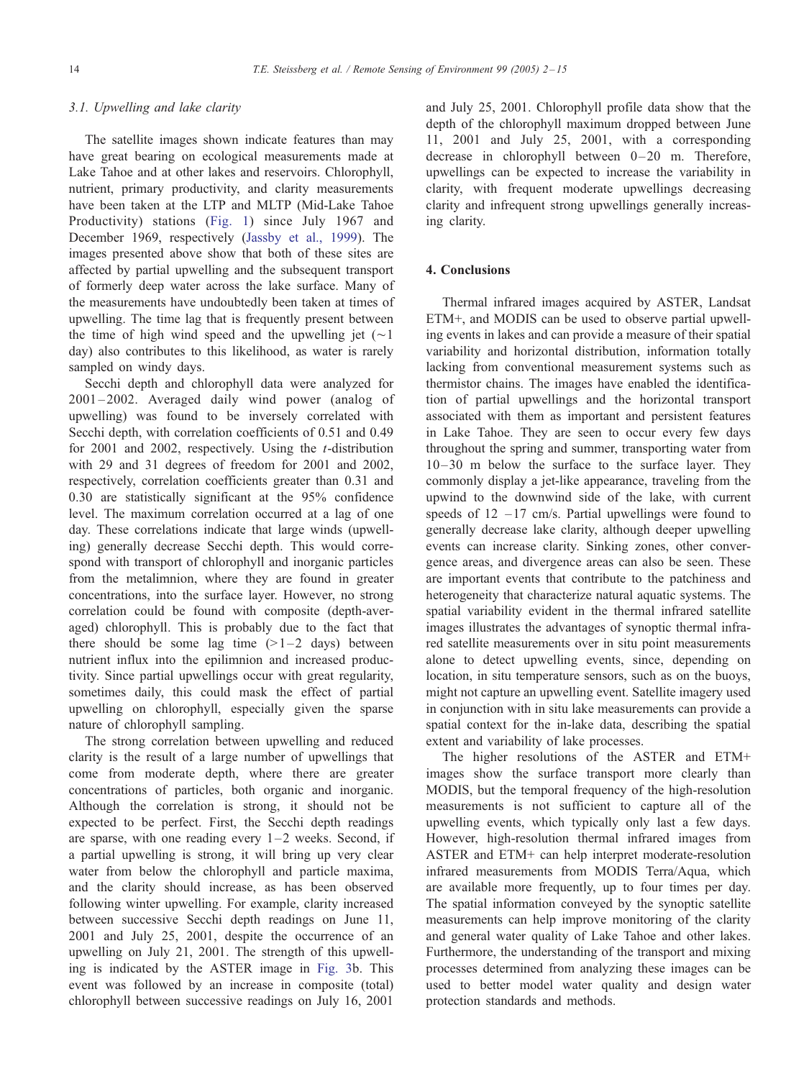# 3.1. Upwelling and lake clarity

The satellite images shown indicate features than may have great bearing on ecological measurements made at Lake Tahoe and at other lakes and reservoirs. Chlorophyll, nutrient, primary productivity, and clarity measurements have been taken at the LTP and MLTP (Mid-Lake Tahoe Productivity) stations ([Fig. 1\)](#page-1-0) since July 1967 and December 1969, respectively ([Jassby et al., 1999\)](#page-13-0). The images presented above show that both of these sites are affected by partial upwelling and the subsequent transport of formerly deep water across the lake surface. Many of the measurements have undoubtedly been taken at times of upwelling. The time lag that is frequently present between the time of high wind speed and the upwelling jet  $(\sim)$ day) also contributes to this likelihood, as water is rarely sampled on windy days.

Secchi depth and chlorophyll data were analyzed for  $2001 - 2002$ . Averaged daily wind power (analog of upwelling) was found to be inversely correlated with Secchi depth, with correlation coefficients of 0.51 and 0.49 for 2001 and 2002, respectively. Using the  $t$ -distribution with 29 and 31 degrees of freedom for 2001 and 2002, respectively, correlation coefficients greater than 0.31 and 0.30 are statistically significant at the 95% confidence level. The maximum correlation occurred at a lag of one day. These correlations indicate that large winds (upwelling) generally decrease Secchi depth. This would correspond with transport of chlorophyll and inorganic particles from the metalimnion, where they are found in greater concentrations, into the surface layer. However, no strong correlation could be found with composite (depth-averaged) chlorophyll. This is probably due to the fact that there should be some lag time  $(>1-2$  days) between nutrient influx into the epilimnion and increased productivity. Since partial upwellings occur with great regularity, sometimes daily, this could mask the effect of partial upwelling on chlorophyll, especially given the sparse nature of chlorophyll sampling.

The strong correlation between upwelling and reduced clarity is the result of a large number of upwellings that come from moderate depth, where there are greater concentrations of particles, both organic and inorganic. Although the correlation is strong, it should not be expected to be perfect. First, the Secchi depth readings are sparse, with one reading every  $1-2$  weeks. Second, if a partial upwelling is strong, it will bring up very clear water from below the chlorophyll and particle maxima, and the clarity should increase, as has been observed following winter upwelling. For example, clarity increased between successive Secchi depth readings on June 11, 2001 and July 25, 2001, despite the occurrence of an upwelling on July 21, 2001. The strength of this upwelling is indicated by the ASTER image in [Fig. 3b](#page-5-0). This event was followed by an increase in composite (total) chlorophyll between successive readings on July 16, 2001

and July 25, 2001. Chlorophyll profile data show that the depth of the chlorophyll maximum dropped between June 11, 2001 and July 25, 2001, with a corresponding decrease in chlorophyll between  $0-20$  m. Therefore, upwellings can be expected to increase the variability in clarity, with frequent moderate upwellings decreasing clarity and infrequent strong upwellings generally increasing clarity.

# 4. Conclusions

Thermal infrared images acquired by ASTER, Landsat ETM+, and MODIS can be used to observe partial upwelling events in lakes and can provide a measure of their spatial variability and horizontal distribution, information totally lacking from conventional measurement systems such as thermistor chains. The images have enabled the identification of partial upwellings and the horizontal transport associated with them as important and persistent features in Lake Tahoe. They are seen to occur every few days throughout the spring and summer, transporting water from  $10-30$  m below the surface to the surface layer. They commonly display a jet-like appearance, traveling from the upwind to the downwind side of the lake, with current speeds of  $12 - 17$  cm/s. Partial upwellings were found to generally decrease lake clarity, although deeper upwelling events can increase clarity. Sinking zones, other convergence areas, and divergence areas can also be seen. These are important events that contribute to the patchiness and heterogeneity that characterize natural aquatic systems. The spatial variability evident in the thermal infrared satellite images illustrates the advantages of synoptic thermal infrared satellite measurements over in situ point measurements alone to detect upwelling events, since, depending on location, in situ temperature sensors, such as on the buoys, might not capture an upwelling event. Satellite imagery used in conjunction with in situ lake measurements can provide a spatial context for the in-lake data, describing the spatial extent and variability of lake processes.

The higher resolutions of the ASTER and ETM+ images show the surface transport more clearly than MODIS, but the temporal frequency of the high-resolution measurements is not sufficient to capture all of the upwelling events, which typically only last a few days. However, high-resolution thermal infrared images from ASTER and ETM+ can help interpret moderate-resolution infrared measurements from MODIS Terra/Aqua, which are available more frequently, up to four times per day. The spatial information conveyed by the synoptic satellite measurements can help improve monitoring of the clarity and general water quality of Lake Tahoe and other lakes. Furthermore, the understanding of the transport and mixing processes determined from analyzing these images can be used to better model water quality and design water protection standards and methods.